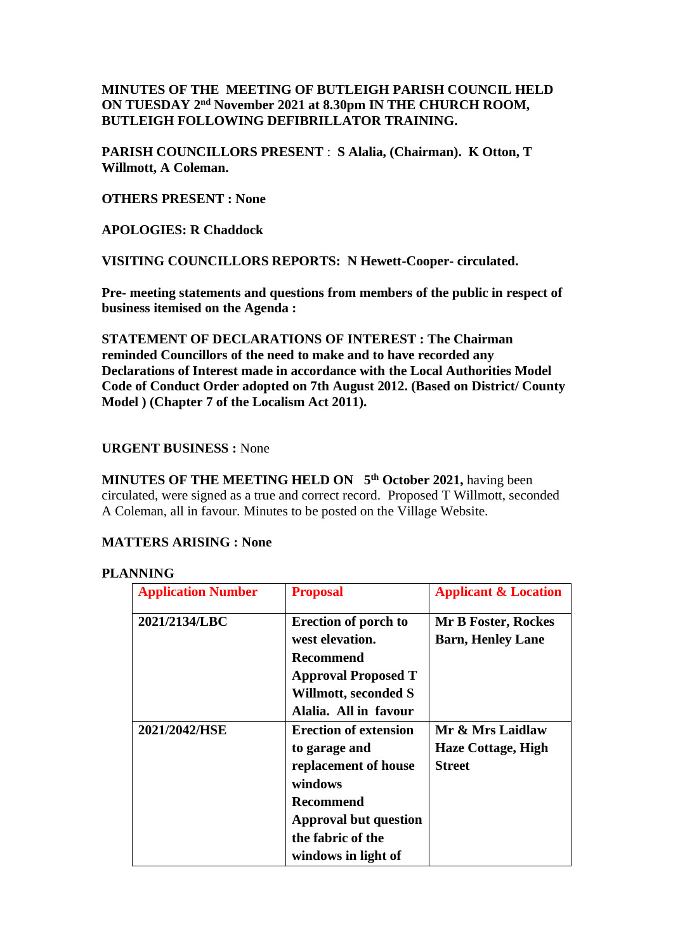# **MINUTES OF THE MEETING OF BUTLEIGH PARISH COUNCIL HELD ON TUESDAY 2<sup>nd</sup> November 2021 at 8.30pm IN THE CHURCH ROOM, BUTLEIGH FOLLOWING DEFIBRILLATOR TRAINING.**

**PARISH COUNCILLORS PRESENT** : **S Alalia, (Chairman). K Otton, T Willmott, A Coleman.**

**OTHERS PRESENT : None**

**APOLOGIES: R Chaddock**

**VISITING COUNCILLORS REPORTS: N Hewett-Cooper- circulated.**

**Pre- meeting statements and questions from members of the public in respect of business itemised on the Agenda :**

**STATEMENT OF DECLARATIONS OF INTEREST : The Chairman reminded Councillors of the need to make and to have recorded any Declarations of Interest made in accordance with the Local Authorities Model Code of Conduct Order adopted on 7th August 2012. (Based on District/ County Model ) (Chapter 7 of the Localism Act 2011).**

### **URGENT BUSINESS :** None

**MINUTES OF THE MEETING HELD ON 5 th October 2021,** having been circulated, were signed as a true and correct record. Proposed T Willmott, seconded A Coleman, all in favour. Minutes to be posted on the Village Website.

### **MATTERS ARISING : None**

## **PLANNING**

| <b>Application Number</b> | <b>Proposal</b>                                                                                                                                                           | <b>Applicant &amp; Location</b>                                |
|---------------------------|---------------------------------------------------------------------------------------------------------------------------------------------------------------------------|----------------------------------------------------------------|
| 2021/2134/LBC             | <b>Erection of porch to</b><br>west elevation.<br>Recommend<br><b>Approval Proposed T</b><br><b>Willmott, seconded S</b><br>Alalia. All in favour                         | <b>Mr B Foster, Rockes</b><br><b>Barn, Henley Lane</b>         |
| 2021/2042/HSE             | <b>Erection of extension</b><br>to garage and<br>replacement of house<br>windows<br>Recommend<br><b>Approval but question</b><br>the fabric of the<br>windows in light of | Mr & Mrs Laidlaw<br><b>Haze Cottage, High</b><br><b>Street</b> |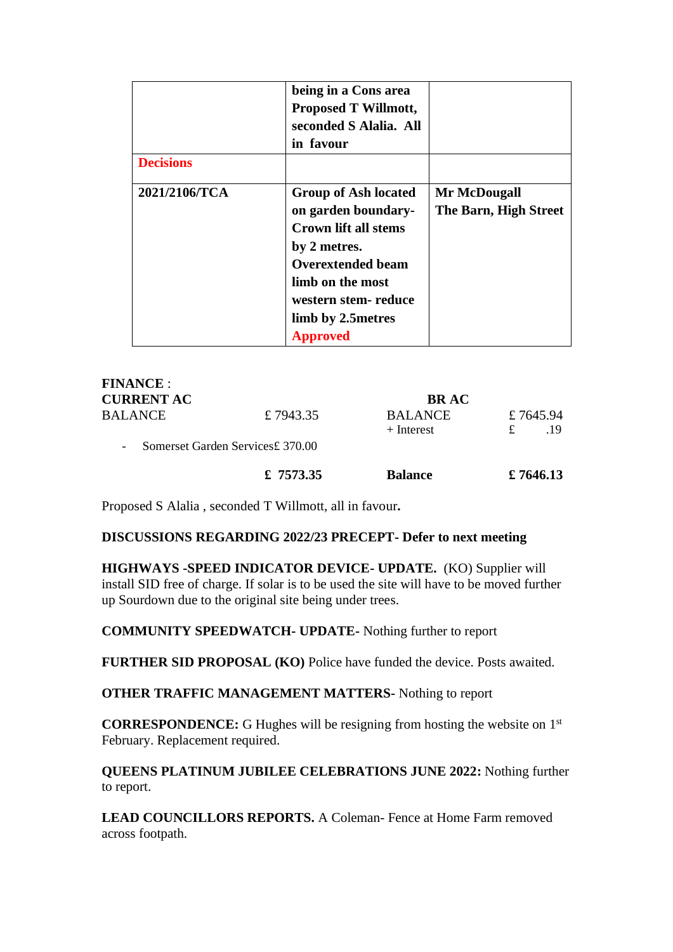| <b>Decisions</b> | being in a Cons area<br><b>Proposed T Willmott,</b><br>seconded S Alalia. All<br>in favour                                                                                                                        |                                       |
|------------------|-------------------------------------------------------------------------------------------------------------------------------------------------------------------------------------------------------------------|---------------------------------------|
| 2021/2106/TCA    | <b>Group of Ash located</b><br>on garden boundary-<br><b>Crown lift all stems</b><br>by 2 metres.<br><b>Overextended beam</b><br>limb on the most<br>western stem-reduce<br>limb by 2.5 metres<br><b>Approved</b> | Mr McDougall<br>The Barn, High Street |

| <b>FINANCE :</b>         |                                  |                                |                      |
|--------------------------|----------------------------------|--------------------------------|----------------------|
| <b>CURRENT AC</b>        |                                  | <b>BRAC</b>                    |                      |
| BALANCE                  | £7943.35                         | <b>BALANCE</b><br>$+$ Interest | £7645.94<br>.19<br>£ |
| $\overline{\phantom{a}}$ | Somerset Garden Services£ 370.00 |                                |                      |
|                          | £ 7573.35                        | <b>Balance</b>                 | £ 7646.13            |

Proposed S Alalia , seconded T Willmott, all in favour**.**

## **DISCUSSIONS REGARDING 2022/23 PRECEPT- Defer to next meeting**

**HIGHWAYS -SPEED INDICATOR DEVICE- UPDATE.** (KO) Supplier will install SID free of charge. If solar is to be used the site will have to be moved further up Sourdown due to the original site being under trees.

**COMMUNITY SPEEDWATCH- UPDATE-** Nothing further to report

**FURTHER SID PROPOSAL (KO)** Police have funded the device. Posts awaited.

**OTHER TRAFFIC MANAGEMENT MATTERS-** Nothing to report

**CORRESPONDENCE:** G Hughes will be resigning from hosting the website on 1st February. Replacement required.

**QUEENS PLATINUM JUBILEE CELEBRATIONS JUNE 2022:** Nothing further to report.

**LEAD COUNCILLORS REPORTS.** A Coleman- Fence at Home Farm removed across footpath.